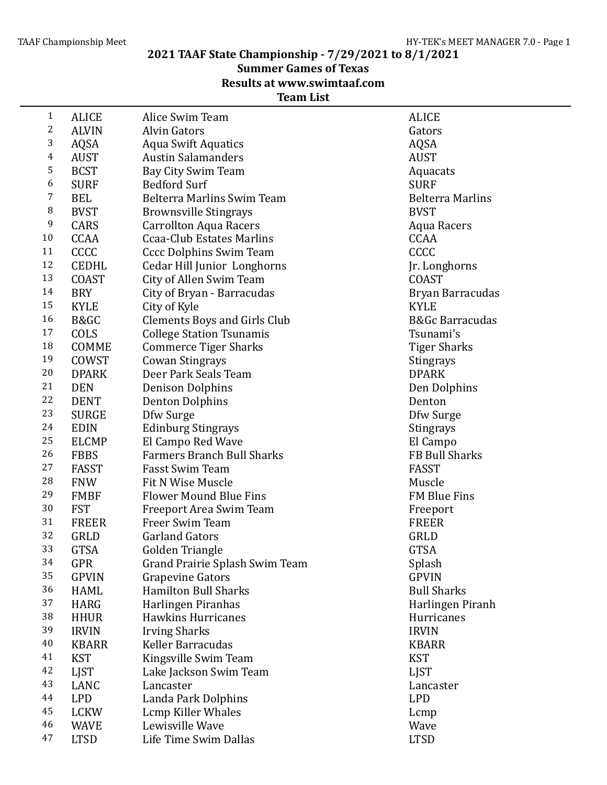**2021 TAAF State Championship - 7/29/2021 to 8/1/2021**

**Summer Games of Texas** 

**Results at www.swimtaaf.com**

## **Team List**

| $\mathbf{1}$            | <b>ALICE</b> | Alice Swim Team                            | <b>ALICE</b>               |
|-------------------------|--------------|--------------------------------------------|----------------------------|
| $\overline{\mathbf{c}}$ | <b>ALVIN</b> | <b>Alvin Gators</b>                        | Gators                     |
| 3                       | AQSA         | <b>Aqua Swift Aquatics</b>                 | AQSA                       |
| 4                       | <b>AUST</b>  | <b>Austin Salamanders</b>                  | <b>AUST</b>                |
| 5                       | <b>BCST</b>  | Bay City Swim Team                         | Aquacats                   |
| 6                       | <b>SURF</b>  | <b>Bedford Surf</b>                        | <b>SURF</b>                |
| 7                       | <b>BEL</b>   | Belterra Marlins Swim Team                 | <b>Belterra Marlins</b>    |
| 8                       | <b>BVST</b>  | <b>Brownsville Stingrays</b>               | <b>BVST</b>                |
| 9                       | CARS         | <b>Carrollton Aqua Racers</b>              | Aqua Racers                |
| 10                      | <b>CCAA</b>  | <b>Ccaa-Club Estates Marlins</b>           | <b>CCAA</b>                |
| 11                      | CCCC         | <b>Cccc Dolphins Swim Team</b>             | CCCC                       |
| 12                      | <b>CEDHL</b> | Cedar Hill Junior Longhorns                | Jr. Longhorns              |
| 13                      | <b>COAST</b> | City of Allen Swim Team                    | <b>COAST</b>               |
| 14                      | <b>BRY</b>   | City of Bryan - Barracudas                 | Bryan Barracudas           |
| 15                      | <b>KYLE</b>  | City of Kyle                               | <b>KYLE</b>                |
| 16                      | B&GC         | <b>Clements Boys and Girls Club</b>        | <b>B&amp;Gc Barracudas</b> |
| 17                      | COLS         | <b>College Station Tsunamis</b>            | Tsunami's                  |
| 18                      | COMME        | <b>Commerce Tiger Sharks</b>               | <b>Tiger Sharks</b>        |
| 19                      | COWST        | <b>Cowan Stingrays</b>                     | Stingrays                  |
| 20                      | <b>DPARK</b> | Deer Park Seals Team                       | <b>DPARK</b>               |
| 21                      | <b>DEN</b>   | <b>Denison Dolphins</b>                    | Den Dolphins               |
| 22                      | <b>DENT</b>  | <b>Denton Dolphins</b>                     | Denton                     |
| 23                      | <b>SURGE</b> | Dfw Surge                                  | Dfw Surge                  |
| 24                      | <b>EDIN</b>  | <b>Edinburg Stingrays</b>                  | Stingrays                  |
| 25                      | <b>ELCMP</b> | El Campo Red Wave                          |                            |
| 26                      | <b>FBBS</b>  | <b>Farmers Branch Bull Sharks</b>          | El Campo<br>FB Bull Sharks |
| 27                      | <b>FASST</b> | <b>Fasst Swim Team</b>                     | <b>FASST</b>               |
| 28                      | <b>FNW</b>   | Fit N Wise Muscle                          | Muscle                     |
| 29                      | <b>FMBF</b>  | <b>Flower Mound Blue Fins</b>              | FM Blue Fins               |
| 30                      | <b>FST</b>   |                                            |                            |
| 31                      |              | Freeport Area Swim Team<br>Freer Swim Team | Freeport                   |
| 32                      | <b>FREER</b> |                                            | <b>FREER</b>               |
| 33                      | GRLD         | <b>Garland Gators</b>                      | GRLD                       |
| 34                      | <b>GTSA</b>  | Golden Triangle                            | <b>GTSA</b>                |
| 35                      | <b>GPR</b>   | Grand Prairie Splash Swim Team             | Splash                     |
| 36                      | <b>GPVIN</b> | <b>Grapevine Gators</b>                    | <b>GPVIN</b>               |
| 37                      | <b>HAML</b>  | <b>Hamilton Bull Sharks</b>                | <b>Bull Sharks</b>         |
| 38                      | <b>HARG</b>  | Harlingen Piranhas                         | Harlingen Piranh           |
| 39                      | <b>HHUR</b>  | <b>Hawkins Hurricanes</b>                  | Hurricanes                 |
|                         | <b>IRVIN</b> | <b>Irving Sharks</b>                       | <b>IRVIN</b>               |
| 40                      | <b>KBARR</b> | Keller Barracudas                          | <b>KBARR</b>               |
| 41                      | <b>KST</b>   | Kingsville Swim Team                       | <b>KST</b>                 |
| 42                      | <b>LJST</b>  | Lake Jackson Swim Team                     | <b>LJST</b>                |
| 43                      | LANC         | Lancaster                                  | Lancaster                  |
| 44                      | <b>LPD</b>   | Landa Park Dolphins                        | <b>LPD</b>                 |
| 45                      | <b>LCKW</b>  | Lcmp Killer Whales                         | Lcmp                       |
| 46                      | <b>WAVE</b>  | Lewisville Wave                            | Wave                       |
| 47                      | <b>LTSD</b>  | Life Time Swim Dallas                      | <b>LTSD</b>                |